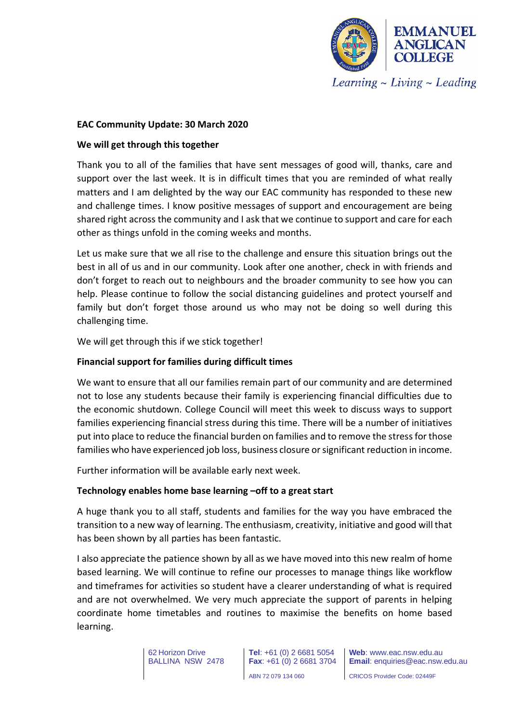

### **EAC Community Update: 30 March 2020**

### **We will get through this together**

Thank you to all of the families that have sent messages of good will, thanks, care and support over the last week. It is in difficult times that you are reminded of what really matters and I am delighted by the way our EAC community has responded to these new and challenge times. I know positive messages of support and encouragement are being shared right across the community and I ask that we continue to support and care for each other as things unfold in the coming weeks and months.

Let us make sure that we all rise to the challenge and ensure this situation brings out the best in all of us and in our community. Look after one another, check in with friends and don't forget to reach out to neighbours and the broader community to see how you can help. Please continue to follow the social distancing guidelines and protect yourself and family but don't forget those around us who may not be doing so well during this challenging time.

We will get through this if we stick together!

## **Financial support for families during difficult times**

We want to ensure that all our families remain part of our community and are determined not to lose any students because their family is experiencing financial difficulties due to the economic shutdown. College Council will meet this week to discuss ways to support families experiencing financial stress during this time. There will be a number of initiatives put into place to reduce the financial burden on families and to remove the stress for those families who have experienced job loss, business closure or significant reduction in income.

Further information will be available early next week.

#### **Technology enables home base learning –off to a great start**

A huge thank you to all staff, students and families for the way you have embraced the transition to a new way of learning. The enthusiasm, creativity, initiative and good will that has been shown by all parties has been fantastic.

I also appreciate the patience shown by all as we have moved into this new realm of home based learning. We will continue to refine our processes to manage things like workflow and timeframes for activities so student have a clearer understanding of what is required and are not overwhelmed. We very much appreciate the support of parents in helping coordinate home timetables and routines to maximise the benefits on home based learning.

> 62 Horizon Drive BALLINA NSW 2478

**Tel**: +61 (0) 2 6681 5054 **Fax**: +61 (0) 2 6681 3704 ABN 72 079 134 060

**Web**: www.eac.nsw.edu.au **Email**: enquiries@eac.nsw.edu.au